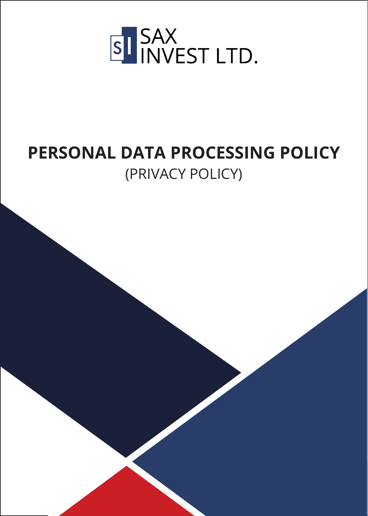

# **PERSONAL DATA PROCESSING POLICY** (PRIVACY POLICY)

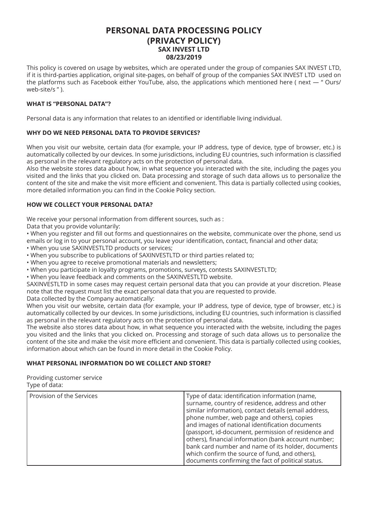## **PERSONAL DATA PROCESSING POLICY (PRIVACY POLICY) SAX INVEST LTD 08/23/2019**

This policy is covered on usage by websites, which are operated under the group of companies SAX INVEST LTD, if it is third-parties application, original site-pages, on behalf of group of the companies SAX INVEST LTD used on the platforms such as Facebook either YouTube, also, the applications which mentioned here ( next — " Ours/ web-site/s " ).

#### **WHAT IS "PERSONAL DATA"?**

Personal data is any information that relates to an identified or identifiable living individual.

## **WHY DO WE NEED PERSONAL DATA TO PROVIDE SERVICES?**

When you visit our website, certain data (for example, your IP address, type of device, type of browser, etc.) is automatically collected by our devices. In some jurisdictions, including EU countries, such information is classified as personal in the relevant regulatory acts on the protection of personal data.

Also the website stores data about how, in what sequence you interacted with the site, including the pages you visited and the links that you clicked on. Data processing and storage of such data allows us to personalize the content of the site and make the visit more efficient and convenient. This data is partially collected using cookies, more detailed information you can find in the Cookie Policy section.

## **HOW WE COLLECT YOUR PERSONAL DATA?**

We receive your personal information from different sources, such as :

Data that you provide voluntarily:

• When you register and fill out forms and questionnaires on the website, communicate over the phone, send us emails or log in to your personal account, you leave your identification, contact, financial and other data;

- When you use SAXINVESTLTD products or services;
- When you subscribe to publications of SAXINVESTLTD or third parties related to;
- When you agree to receive promotional materials and newsletters;
- When you participate in loyalty programs, promotions, surveys, contests SAXINVESTLTD;
- When you leave feedback and comments on the SAXINVESTLTD website.

SAXINVESTLTD in some cases may request certain personal data that you can provide at your discretion. Please note that the request must list the exact personal data that you are requested to provide.

Data collected by the Company automatically:

When you visit our website, certain data (for example, your IP address, type of device, type of browser, etc.) is automatically collected by our devices. In some jurisdictions, including EU countries, such information is classified as personal in the relevant regulatory acts on the protection of personal data.

The website also stores data about how, in what sequence you interacted with the website, including the pages you visited and the links that you clicked on. Processing and storage of such data allows us to personalize the content of the site and make the visit more efficient and convenient. This data is partially collected using cookies, information about which can be found in more detail in the Cookie Policy.

#### **WHAT PERSONAL INFORMATION DO WE COLLECT AND STORE?**

Providing customer service Type of data:

| Provision of the Services | Type of data: identification information (name,<br>surname, country of residence, address and other<br>similar information), contact details (email address,<br>phone number, web page and others), copies<br>and images of national identification documents<br>(passport, id-document, permission of residence and<br>others), financial information (bank account number;<br>bank card number and name of its holder, documents |
|---------------------------|------------------------------------------------------------------------------------------------------------------------------------------------------------------------------------------------------------------------------------------------------------------------------------------------------------------------------------------------------------------------------------------------------------------------------------|
|                           | which confirm the source of fund, and others),<br>documents confirming the fact of political status.                                                                                                                                                                                                                                                                                                                               |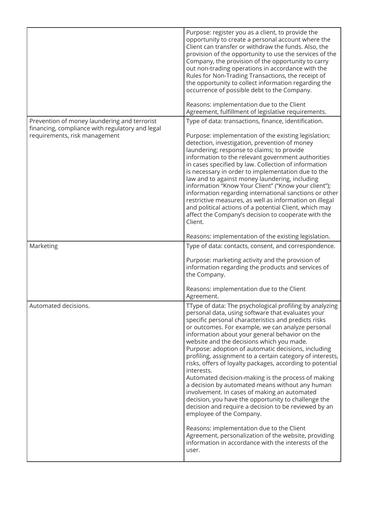|                                                                                                                                  | Purpose: register you as a client, to provide the<br>opportunity to create a personal account where the<br>Client can transfer or withdraw the funds. Also, the<br>provision of the opportunity to use the services of the<br>Company, the provision of the opportunity to carry<br>out non-trading operations in accordance with the<br>Rules for Non-Trading Transactions, the receipt of<br>the opportunity to collect information regarding the<br>occurrence of possible debt to the Company.<br>Reasons: implementation due to the Client                                                                                                                                                                                                                                                                                                                                                                                                                                                                |
|----------------------------------------------------------------------------------------------------------------------------------|----------------------------------------------------------------------------------------------------------------------------------------------------------------------------------------------------------------------------------------------------------------------------------------------------------------------------------------------------------------------------------------------------------------------------------------------------------------------------------------------------------------------------------------------------------------------------------------------------------------------------------------------------------------------------------------------------------------------------------------------------------------------------------------------------------------------------------------------------------------------------------------------------------------------------------------------------------------------------------------------------------------|
|                                                                                                                                  | Agreement, fulfillment of legislative requirements.                                                                                                                                                                                                                                                                                                                                                                                                                                                                                                                                                                                                                                                                                                                                                                                                                                                                                                                                                            |
| Prevention of money laundering and terrorist<br>financing, compliance with regulatory and legal<br>requirements, risk management | Type of data: transactions, finance, identification.<br>Purpose: implementation of the existing legislation;<br>detection, investigation, prevention of money<br>laundering; response to claims; to provide<br>information to the relevant government authorities<br>in cases specified by law. Collection of information<br>is necessary in order to implementation due to the<br>law and to against money laundering, including<br>information "Know Your Client" ("Know your client");<br>information regarding international sanctions or other<br>restrictive measures, as well as information on illegal<br>and political actions of a potential Client, which may<br>affect the Company's decision to cooperate with the<br>Client.<br>Reasons: implementation of the existing legislation.                                                                                                                                                                                                             |
| Marketing                                                                                                                        | Type of data: contacts, consent, and correspondence.                                                                                                                                                                                                                                                                                                                                                                                                                                                                                                                                                                                                                                                                                                                                                                                                                                                                                                                                                           |
|                                                                                                                                  | Purpose: marketing activity and the provision of<br>information regarding the products and services of<br>the Company.<br>Reasons: implementation due to the Client                                                                                                                                                                                                                                                                                                                                                                                                                                                                                                                                                                                                                                                                                                                                                                                                                                            |
| Automated decisions.                                                                                                             | Agreement.<br>TType of data: The psychological profiling by analyzing<br>personal data, using software that evaluates your<br>specific personal characteristics and predicts risks<br>or outcomes. For example, we can analyze personal<br>information about your general behavior on the<br>website and the decisions which you made.<br>Purpose: adoption of automatic decisions, including<br>profiling, assignment to a certain category of interests,<br>risks, offers of loyalty packages, according to potential<br>interests.<br>Automated decision-making is the process of making<br>a decision by automated means without any human<br>involvement. In cases of making an automated<br>decision, you have the opportunity to challenge the<br>decision and require a decision to be reviewed by an<br>employee of the Company.<br>Reasons: implementation due to the Client<br>Agreement, personalization of the website, providing<br>information in accordance with the interests of the<br>user. |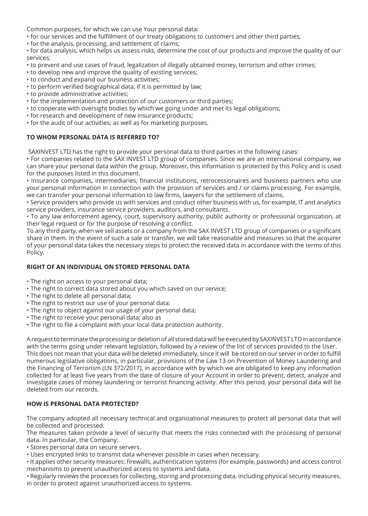Common purposes, for which we can use Your personal data:

- for our services and the fulfillment of our treaty obligations to customers and other third parties;
- for the analysis, processing, and settlement of claims;

• for data analysis, which helps us assess risks, determine the cost of our products and improve the quality of our services;

- to prevent and use cases of fraud, legalization of illegally obtained money, terrorism and other crimes;
- to develop new and improve the quality of existing services;
- to conduct and expand our business activities;
- to perform verified biographical data, if it is permitted by law;
- to provide administrative activities;
- for the implementation and protection of our customers or third parties;
- to cooperate with oversight bodies by which we going under and met its legal obligations;
- for research and development of new insurance products;
- for the audit of our activities; as well as for marketing purposes.

## **TO WHOM PERSONAL DATA IS REFERRED TO?**

SAXINVEST LTD has the right to provide your personal data to third parties in the following cases:

• For companies related to the SAX INVEST LTD group of companies. Since we are an international company, we can share your personal data within the group. Moreover, this information is protected by this Policy and is used for the purposes listed in this document.

• Insurance companies, intermediaries, financial institutions, retrocessionaires and business partners who use your personal information in connection with the provision of services and / or claims processing. For example, we can transfer your personal information to law firms, lawyers for the settlement of claims.

• Service providers who provide us with services and conduct other business with us, for example, IT and analytics service providers, insurance service providers, auditors, and consultants.

• To any law enforcement agency, court, supervisory authority, public authority or professional organization, at their legal request or for the purpose of resolving a conflict.

To any third party, when we sell assets or a company from the SAX INVEST LTD group of companies or a significant share in them. In the event of such a sale or transfer, we will take reasonable and measures so that the acquirer of your personal data takes the necessary steps to protect the received data in accordance with the terms of this Policy.

## **RIGHT OF AN INDIVIDUAL ON STORED PERSONAL DATA**

- The right on access to your personal data;
- The right to correct data stored about you which saved on our service;
- The right to delete all personal data;
- The right to restrict our use of your personal data;
- The right to object against our usage of your personal data;
- The right to receive your personal data; also as
- The right to file a complaint with your local data protection authority.

A request to terminate the processing or deletion of all stored data will be executed by SAXINVEST LTD in accordance with the terms going under relevant legislation, followed by a review of the list of services provided to the User. This does not mean that your data will be deleted immediately, since it will be stored on our server in order to fulfill numerous legislative obligations, in particular, provisions of the Law 13 on Prevention of Money Laundering and the Financing of Terrorism (LN 372/2017), in accordance with by which we are obligated to keep any information collected for at least five years from the date of closure of your Account in order to prevent, detect, analyze and investigate cases of money laundering or terrorist financing activity. After this period, your personal data will be deleted from our records.

## **HOW IS PERSONAL DATA PROTECTED?**

The company adopted all necessary technical and organizational measures to protect all personal data that will be collected and processed.

The measures taken provide a level of security that meets the risks connected with the processing of personal data. In particular, the Company:

- Stores personal data on secure servers.
- Uses encrypted links to transmit data whenever possible in cases when necessary.

• It applies other security measures: firewalls, authentication systems (for example, passwords) and access control mechanisms to prevent unauthorized access to systems and data.

• Regularly reviews the processes for collecting, storing and processing data, including physical security measures, in order to protect against unauthorized access to systems.